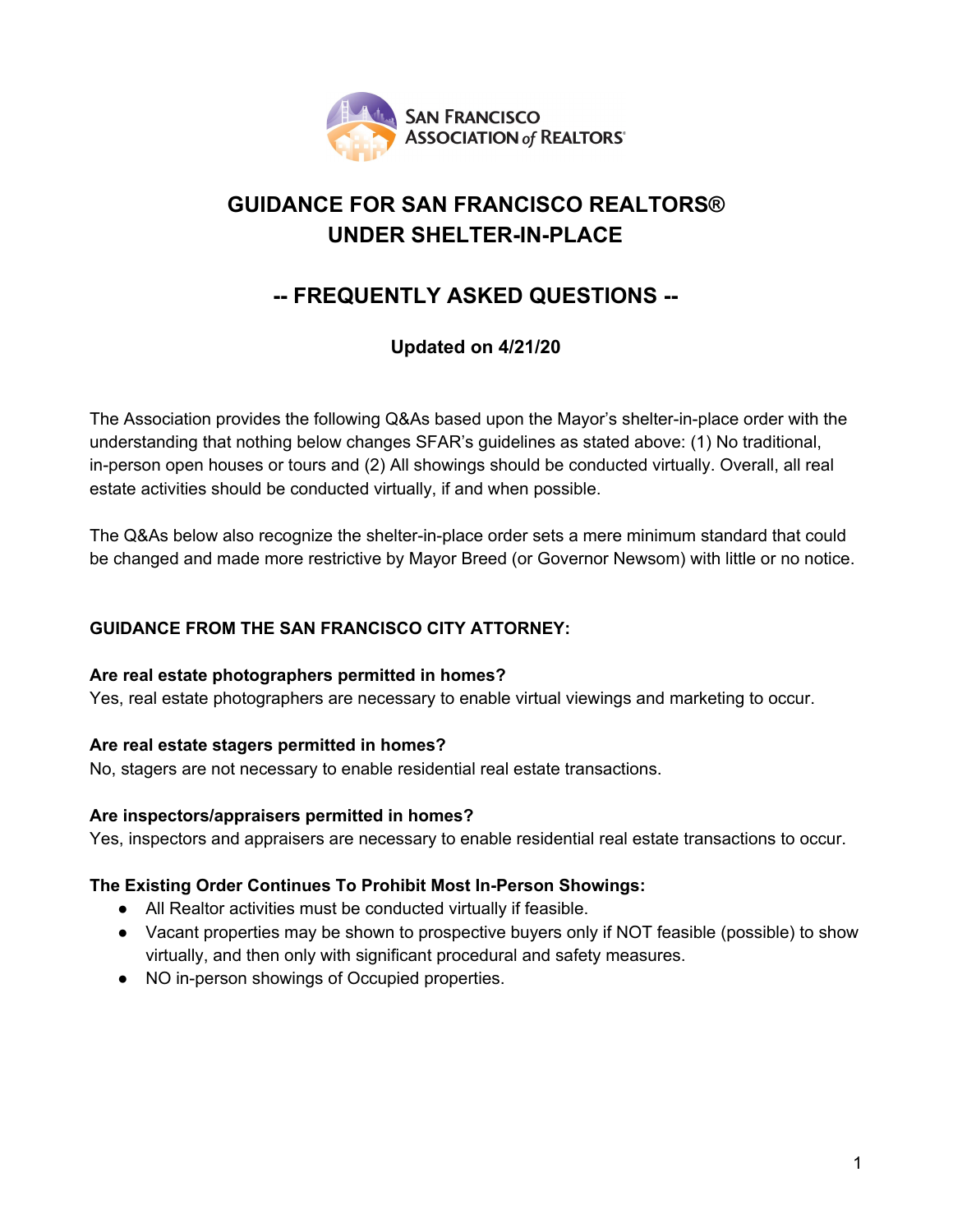

# **GUIDANCE FOR SAN FRANCISCO REALTORS® UNDER SHELTER-IN-PLACE**

## **-- FREQUENTLY ASKED QUESTIONS --**

## **Updated on 4/21/20**

The Association provides the following Q&As based upon the Mayor's shelter-in-place order with the understanding that nothing below changes SFAR's guidelines as stated above: (1) No traditional, in-person open houses or tours and (2) All showings should be conducted virtually. Overall, all real estate activities should be conducted virtually, if and when possible.

The Q&As below also recognize the shelter-in-place order sets a mere minimum standard that could be changed and made more restrictive by Mayor Breed (or Governor Newsom) with little or no notice.

## **GUIDANCE FROM THE SAN FRANCISCO CITY ATTORNEY:**

#### **Are real estate photographers permitted in homes?**

Yes, real estate photographers are necessary to enable virtual viewings and marketing to occur.

#### **Are real estate stagers permitted in homes?**

No, stagers are not necessary to enable residential real estate transactions.

#### **Are inspectors/appraisers permitted in homes?**

Yes, inspectors and appraisers are necessary to enable residential real estate transactions to occur.

#### **The Existing Order Continues To Prohibit Most In-Person Showings:**

- All Realtor activities must be conducted virtually if feasible.
- Vacant properties may be shown to prospective buyers only if NOT feasible (possible) to show virtually, and then only with significant procedural and safety measures.
- NO in-person showings of Occupied properties.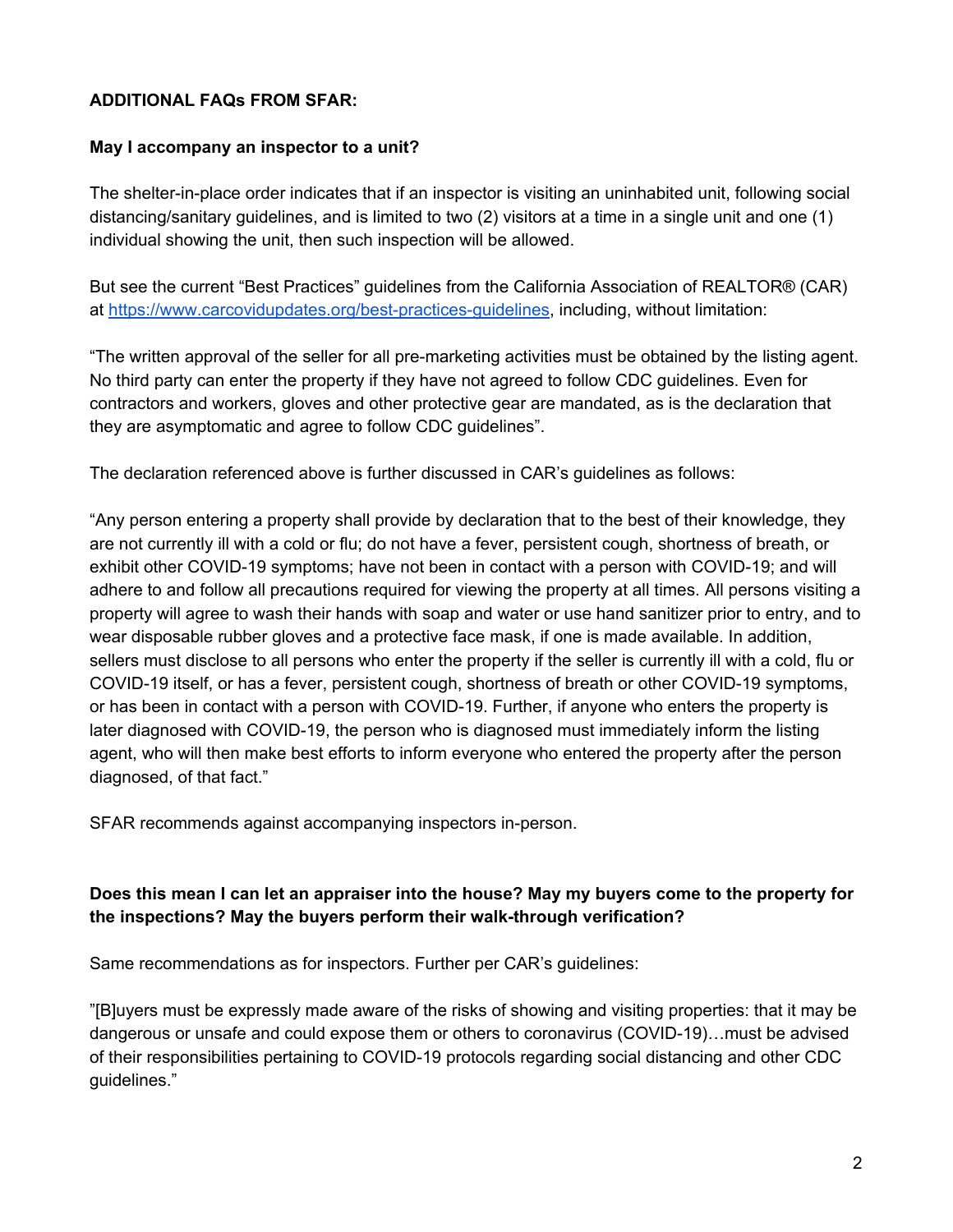#### **ADDITIONAL FAQs FROM SFAR:**

#### **May I accompany an inspector to a unit?**

The shelter-in-place order indicates that if an inspector is visiting an uninhabited unit, following social distancing/sanitary guidelines, and is limited to two (2) visitors at a time in a single unit and one (1) individual showing the unit, then such inspection will be allowed.

But see the current "Best Practices" guidelines from the California Association of REALTOR® (CAR) at <https://www.carcovidupdates.org/best-practices-guidelines>, including, without limitation:

"The written approval of the seller for all pre-marketing activities must be obtained by the listing agent. No third party can enter the property if they have not agreed to follow CDC guidelines. Even for contractors and workers, gloves and other protective gear are mandated, as is the declaration that they are asymptomatic and agree to follow CDC guidelines".

The declaration referenced above is further discussed in CAR's guidelines as follows:

"Any person entering a property shall provide by declaration that to the best of their knowledge, they are not currently ill with a cold or flu; do not have a fever, persistent cough, shortness of breath, or exhibit other COVID-19 symptoms; have not been in contact with a person with COVID-19; and will adhere to and follow all precautions required for viewing the property at all times. All persons visiting a property will agree to wash their hands with soap and water or use hand sanitizer prior to entry, and to wear disposable rubber gloves and a protective face mask, if one is made available. In addition, sellers must disclose to all persons who enter the property if the seller is currently ill with a cold, flu or COVID-19 itself, or has a fever, persistent cough, shortness of breath or other COVID-19 symptoms, or has been in contact with a person with COVID-19. Further, if anyone who enters the property is later diagnosed with COVID-19, the person who is diagnosed must immediately inform the listing agent, who will then make best efforts to inform everyone who entered the property after the person diagnosed, of that fact."

SFAR recommends against accompanying inspectors in-person.

### Does this mean I can let an appraiser into the house? May my buyers come to the property for **the inspections? May the buyers perform their walk-through verification?**

Same recommendations as for inspectors. Further per CAR's guidelines:

"[B]uyers must be expressly made aware of the risks of showing and visiting properties: that it may be dangerous or unsafe and could expose them or others to coronavirus (COVID-19)…must be advised of their responsibilities pertaining to COVID-19 protocols regarding social distancing and other CDC guidelines."